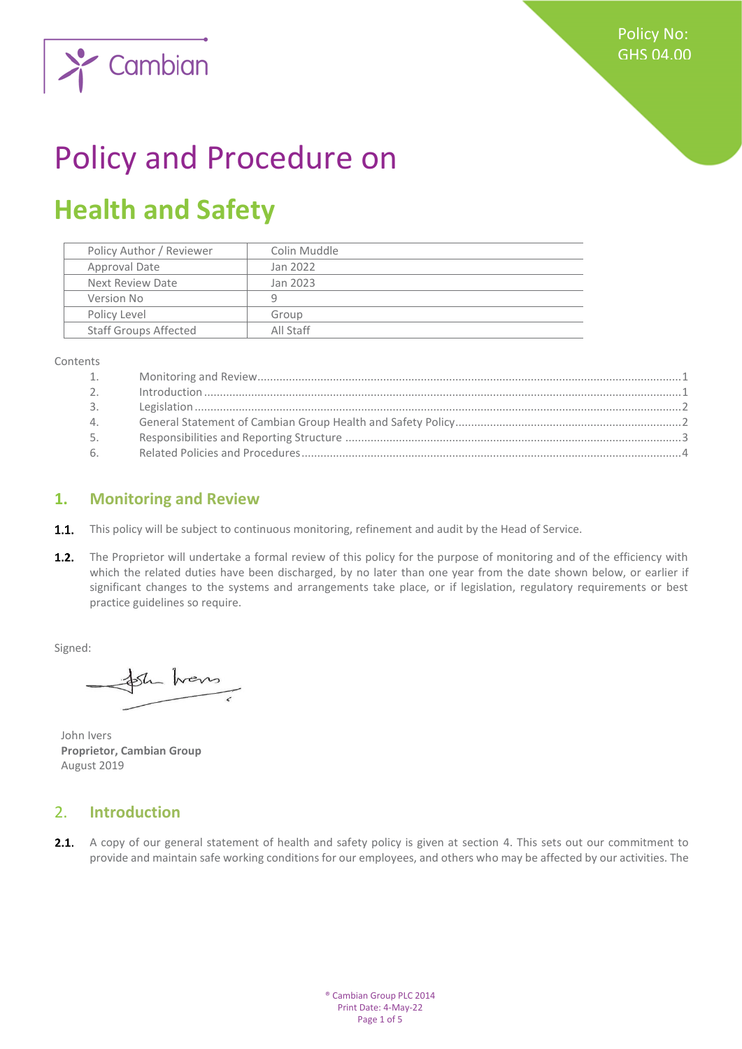

# Policy and Procedure on

## **Health and Safety**

| Policy Author / Reviewer     | Colin Muddle |
|------------------------------|--------------|
| Approval Date                | Jan 2022     |
| Next Review Date             | Jan 2023     |
| Version No                   | q            |
| Policy Level                 | Group        |
| <b>Staff Groups Affected</b> | All Staff    |
|                              |              |

Contents

| 1.             |  |
|----------------|--|
| 2 <sub>1</sub> |  |
| 3.             |  |
| 4.             |  |
| 5.             |  |
| 6.             |  |

#### <span id="page-0-0"></span>**1. Monitoring and Review**

- **1.1.** This policy will be subject to continuous monitoring, refinement and audit by the Head of Service.
- $1.2.$ The Proprietor will undertake a formal review of this policy for the purpose of monitoring and of the efficiency with which the related duties have been discharged, by no later than one year from the date shown below, or earlier if significant changes to the systems and arrangements take place, or if legislation, regulatory requirements or best practice guidelines so require.

Signed:

Sh hans

John Ivers **Proprietor, Cambian Group** August 2019

#### <span id="page-0-1"></span>2. **Introduction**

2.1. A copy of our general statement of health and safety policy is given at section 4. This sets out our commitment to provide and maintain safe working conditions for our employees, and others who may be affected by our activities. The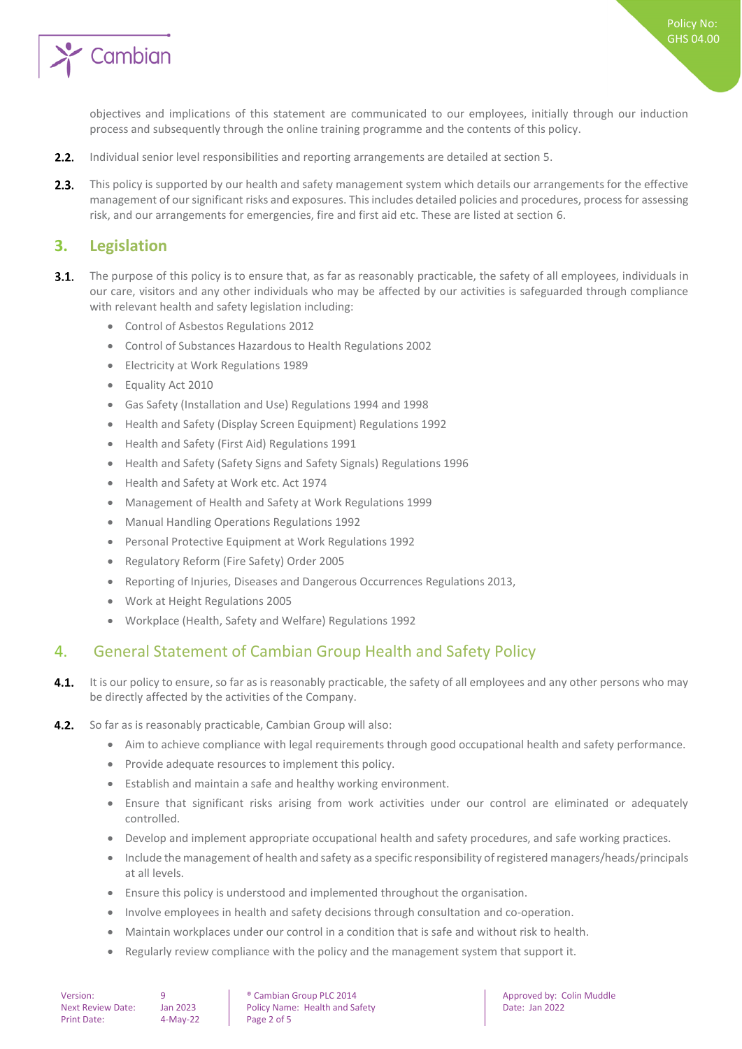

Policy No: GHS 04.00

objectives and implications of this statement are communicated to our employees, initially through our induction process and subsequently through the online training programme and the contents of this policy.

- $2.2.$ Individual senior level responsibilities and reporting arrangements are detailed at section 5.
- $2.3.$ This policy is supported by our health and safety management system which details our arrangements for the effective management of our significant risks and exposures. This includes detailed policies and procedures, process for assessing risk, and our arrangements for emergencies, fire and first aid etc. These are listed at section 6.

#### <span id="page-1-0"></span>**3. Legislation**

- $3.1.$ The purpose of this policy is to ensure that, as far as reasonably practicable, the safety of all employees, individuals in our care, visitors and any other individuals who may be affected by our activities is safeguarded through compliance with relevant health and safety legislation including:
	- Control of Asbestos Regulations 2012
	- Control of Substances Hazardous to Health Regulations 2002
	- Electricity at Work Regulations 1989
	- Equality Act 2010
	- Gas Safety (Installation and Use) Regulations 1994 and 1998
	- Health and Safety (Display Screen Equipment) Regulations 1992
	- Health and Safety (First Aid) Regulations 1991
	- Health and Safety (Safety Signs and Safety Signals) Regulations 1996
	- Health and Safety at Work etc. Act 1974
	- Management of Health and Safety at Work Regulations 1999
	- Manual Handling Operations Regulations 1992
	- Personal Protective Equipment at Work Regulations 1992
	- Regulatory Reform (Fire Safety) Order 2005
	- Reporting of Injuries, Diseases and Dangerous Occurrences Regulations 2013,
	- Work at Height Regulations 2005
	- Workplace (Health, Safety and Welfare) Regulations 1992

#### <span id="page-1-1"></span>4. General Statement of Cambian Group Health and Safety Policy

- $4.1.$ It is our policy to ensure, so far as is reasonably practicable, the safety of all employees and any other persons who may be directly affected by the activities of the Company.
- $4.2.$ So far as is reasonably practicable, Cambian Group will also:
	- Aim to achieve compliance with legal requirements through good occupational health and safety performance.
	- Provide adequate resources to implement this policy.
	- Establish and maintain a safe and healthy working environment.
	- Ensure that significant risks arising from work activities under our control are eliminated or adequately controlled.
	- Develop and implement appropriate occupational health and safety procedures, and safe working practices.
	- Include the management of health and safety as a specific responsibility of registered managers/heads/principals at all levels.
	- Ensure this policy is understood and implemented throughout the organisation.
	- Involve employees in health and safety decisions through consultation and co-operation.
	- Maintain workplaces under our control in a condition that is safe and without risk to health.
	- Regularly review compliance with the policy and the management system that support it.

Version: 9 9 **9** Cambian Group PLC 2014 **Approved by:** Colin Muddle Next Review Date: Jan 2023 | Policy Name: Health and Safety | Date: Jan 2022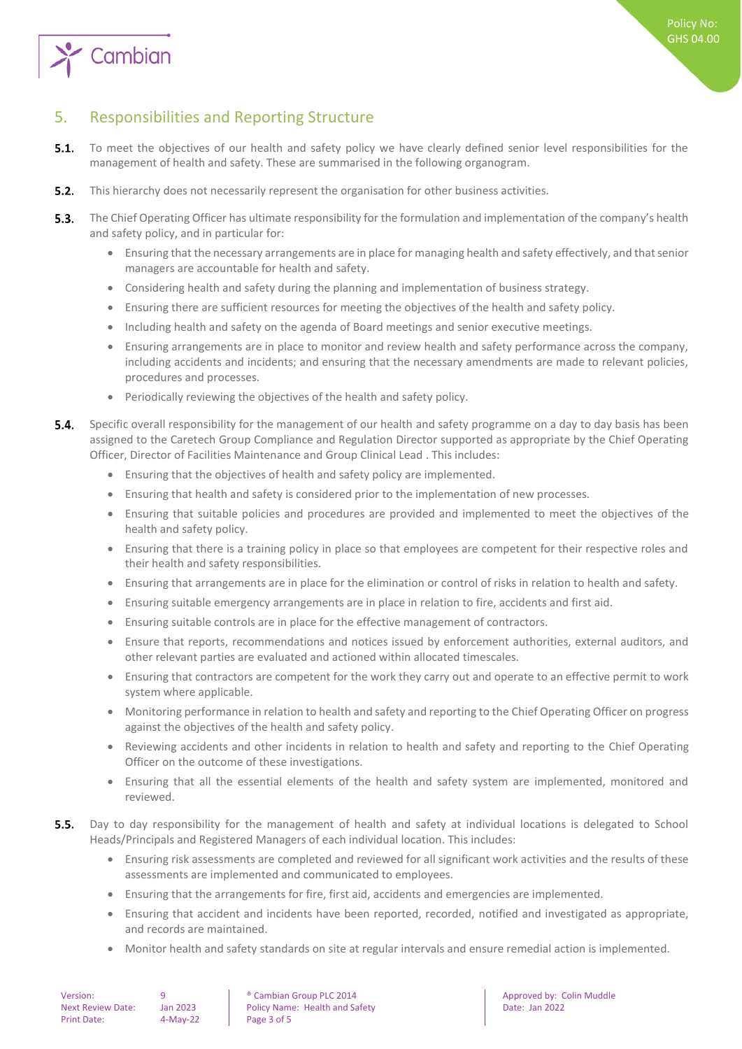

### <span id="page-2-0"></span>5. Responsibilities and Reporting Structure

- $5.1.$ To meet the objectives of our health and safety policy we have clearly defined senior level responsibilities for the management of health and safety. These are summarised in the following organogram.
- $5.2.$ This hierarchy does not necessarily represent the organisation for other business activities.
- $5.3.$ The Chief Operating Officer has ultimate responsibility for the formulation and implementation of the company's health and safety policy, and in particular for:
	- Ensuring that the necessary arrangements are in place for managing health and safety effectively, and that senior managers are accountable for health and safety.
	- Considering health and safety during the planning and implementation of business strategy.
	- Ensuring there are sufficient resources for meeting the objectives of the health and safety policy.
	- Including health and safety on the agenda of Board meetings and senior executive meetings.
	- Ensuring arrangements are in place to monitor and review health and safety performance across the company, including accidents and incidents; and ensuring that the necessary amendments are made to relevant policies, procedures and processes.
	- Periodically reviewing the objectives of the health and safety policy.
- 54 Specific overall responsibility for the management of our health and safety programme on a day to day basis has been assigned to the Caretech Group Compliance and Regulation Director supported as appropriate by the Chief Operating Officer, Director of Facilities Maintenance and Group Clinical Lead . This includes:
	- Ensuring that the objectives of health and safety policy are implemented.
	- Ensuring that health and safety is considered prior to the implementation of new processes.
	- Ensuring that suitable policies and procedures are provided and implemented to meet the objectives of the health and safety policy.
	- Ensuring that there is a training policy in place so that employees are competent for their respective roles and their health and safety responsibilities.
	- Ensuring that arrangements are in place for the elimination or control of risks in relation to health and safety.
	- Ensuring suitable emergency arrangements are in place in relation to fire, accidents and first aid.
	- Ensuring suitable controls are in place for the effective management of contractors.
	- Ensure that reports, recommendations and notices issued by enforcement authorities, external auditors, and other relevant parties are evaluated and actioned within allocated timescales.
	- Ensuring that contractors are competent for the work they carry out and operate to an effective permit to work system where applicable.
	- Monitoring performance in relation to health and safety and reporting to the Chief Operating Officer on progress against the objectives of the health and safety policy.
	- Reviewing accidents and other incidents in relation to health and safety and reporting to the Chief Operating Officer on the outcome of these investigations.
	- Ensuring that all the essential elements of the health and safety system are implemented, monitored and reviewed.
- $5.5.$ Day to day responsibility for the management of health and safety at individual locations is delegated to School Heads/Principals and Registered Managers of each individual location. This includes:
	- Ensuring risk assessments are completed and reviewed for all significant work activities and the results of these assessments are implemented and communicated to employees.
	- Ensuring that the arrangements for fire, first aid, accidents and emergencies are implemented.
	- Ensuring that accident and incidents have been reported, recorded, notified and investigated as appropriate, and records are maintained.
	- Monitor health and safety standards on site at regular intervals and ensure remedial action is implemented.

| Version:                 |  |
|--------------------------|--|
| <b>Next Review Date:</b> |  |
| Print Date:              |  |

 $4-Mav-22$  Page 3 of 5

• Cambian Group PLC 2014 **Approved by: Colin Muddle** Ian 2023 Policy Name: Health and Safety Name Date: Jan 2022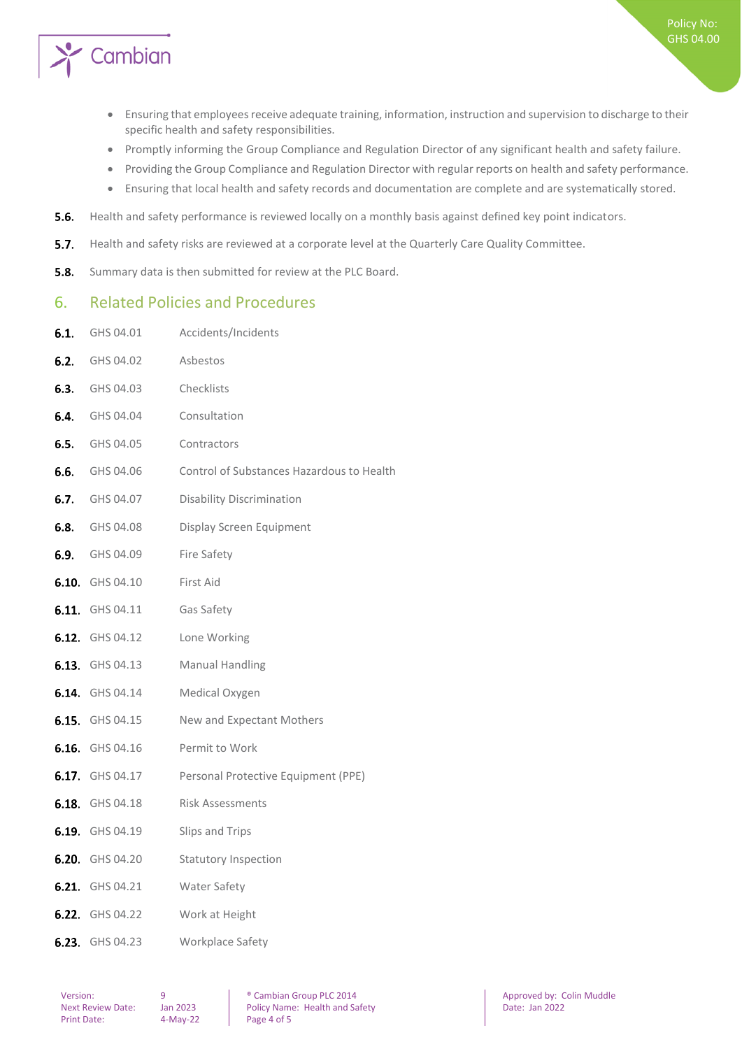

- Ensuring that employees receive adequate training, information, instruction and supervision to discharge to their specific health and safety responsibilities.
- Promptly informing the Group Compliance and Regulation Director of any significant health and safety failure.
- Providing the Group Compliance and Regulation Director with regular reports on health and safety performance.
- Ensuring that local health and safety records and documentation are complete and are systematically stored.
- $5.6.$ Health and safety performance is reviewed locally on a monthly basis against defined key point indicators.
- $5.7.$ Health and safety risks are reviewed at a corporate level at the Quarterly Care Quality Committee.
- <span id="page-3-0"></span> $5.8.$ Summary data is then submitted for review at the PLC Board.

#### 6. Related Policies and Procedures

6.1. GHS 04.01 Accidents/Incidents

| 6.2. | GHS 04.02              | Asbestos                                  |
|------|------------------------|-------------------------------------------|
|      | <b>6.3.</b> GHS 04.03  | Checklists                                |
|      | 6.4. GHS 04.04         | Consultation                              |
|      | <b>6.5.</b> GHS 04.05  | Contractors                               |
|      | <b>6.6.</b> GHS 04.06  | Control of Substances Hazardous to Health |
|      | <b>6.7.</b> GHS 04.07  | <b>Disability Discrimination</b>          |
|      | <b>6.8.</b> GHS 04.08  | Display Screen Equipment                  |
|      | <b>6.9.</b> GHS 04.09  | <b>Fire Safety</b>                        |
|      | 6.10. GHS 04.10        | First Aid                                 |
|      | 6.11. GHS 04.11        | Gas Safety                                |
|      | 6.12. GHS 04.12        | Lone Working                              |
|      | <b>6.13.</b> GHS 04.13 | <b>Manual Handling</b>                    |
|      | <b>6.14.</b> GHS 04.14 | Medical Oxygen                            |
|      | <b>6.15.</b> GHS 04.15 | New and Expectant Mothers                 |
|      | 6.16. GHS 04.16        | Permit to Work                            |
|      | 6.17. GHS 04.17        | Personal Protective Equipment (PPE)       |
|      | <b>6.18.</b> GHS 04.18 | <b>Risk Assessments</b>                   |
|      | <b>6.19.</b> GHS 04.19 | Slips and Trips                           |
|      | 6.20. GHS 04.20        | <b>Statutory Inspection</b>               |
|      | 6.21. GHS 04.21        | Water Safety                              |
|      | <b>6.22.</b> GHS 04.22 | Work at Height                            |
|      | 6.23. GHS 04.23        | Workplace Safety                          |